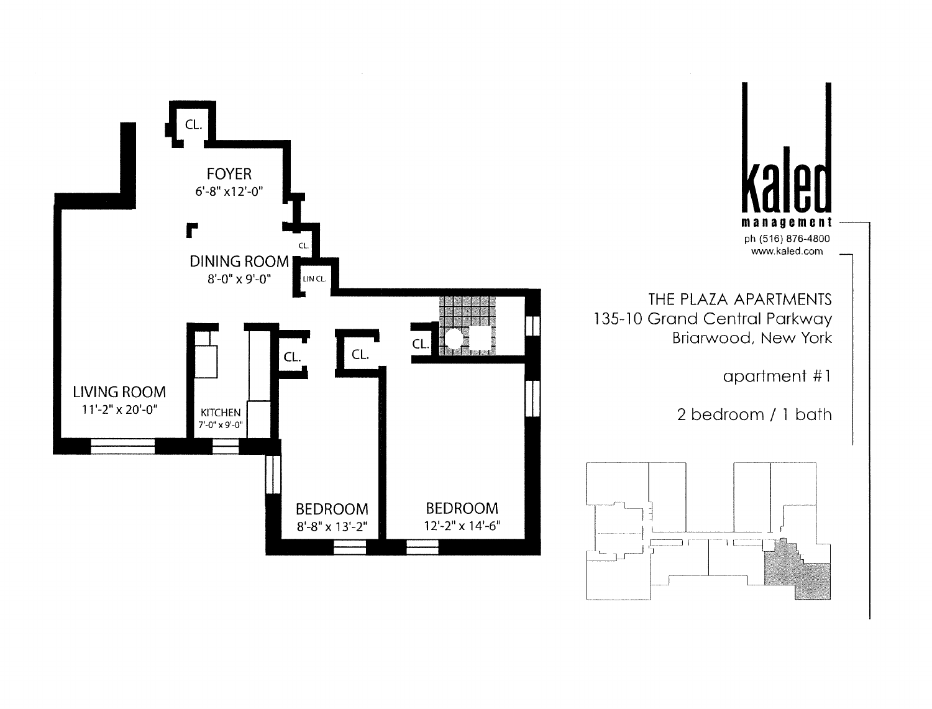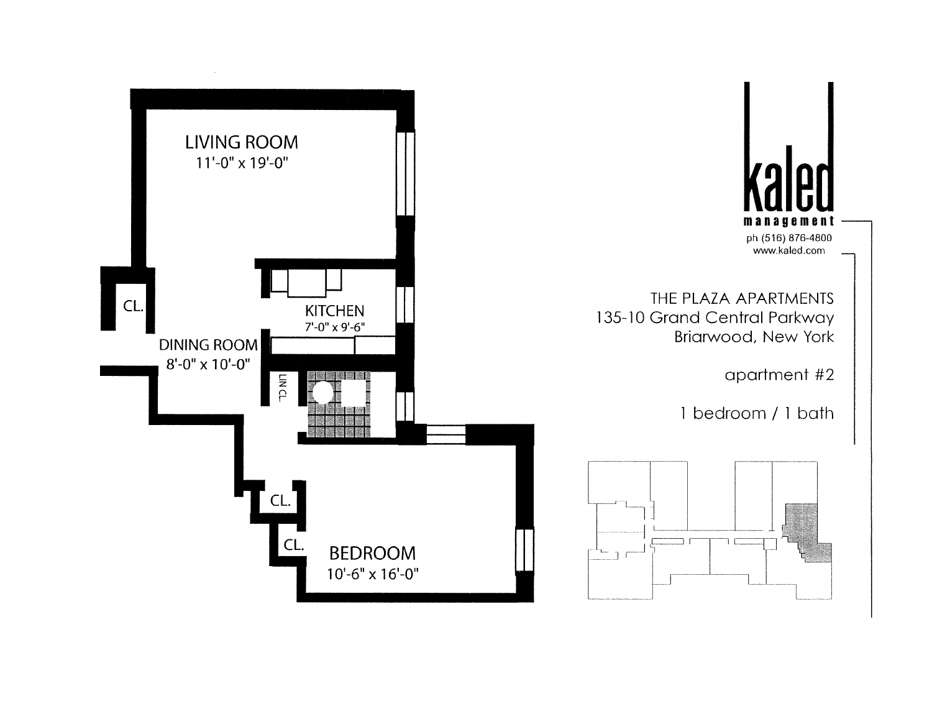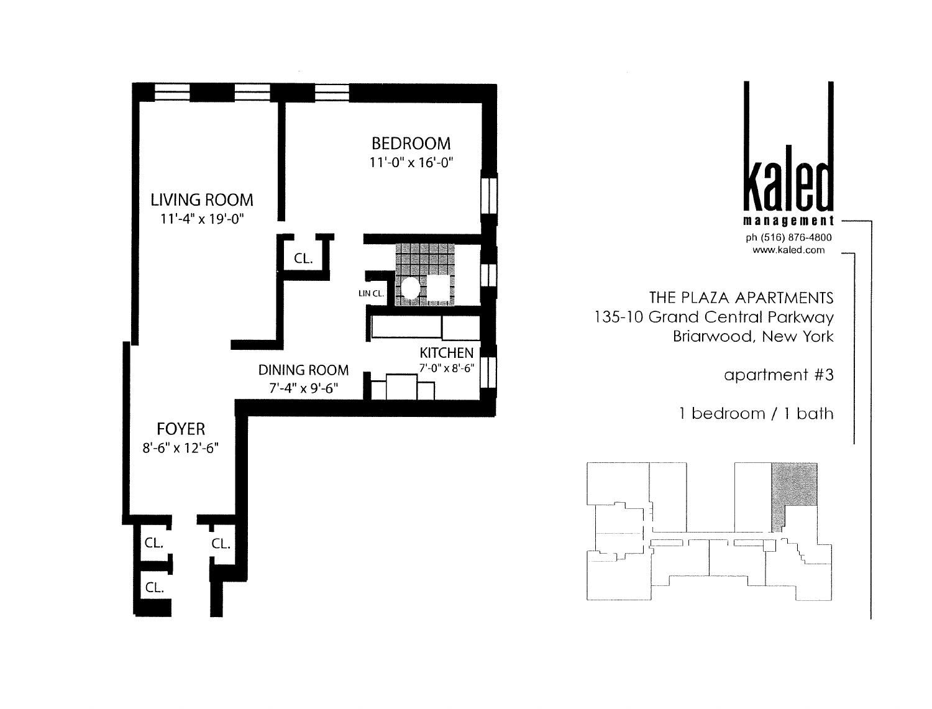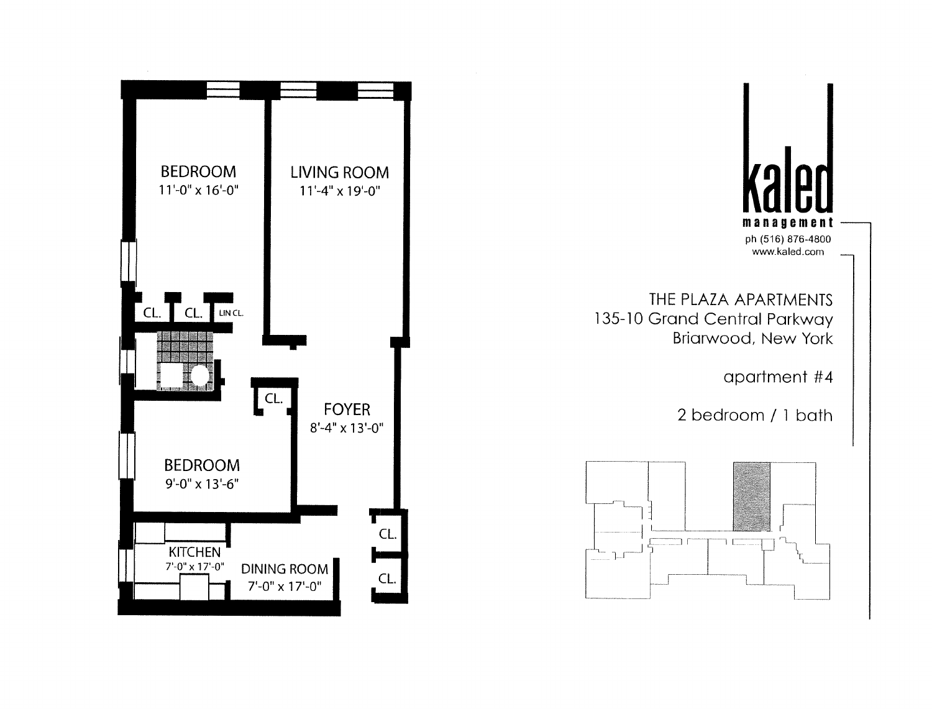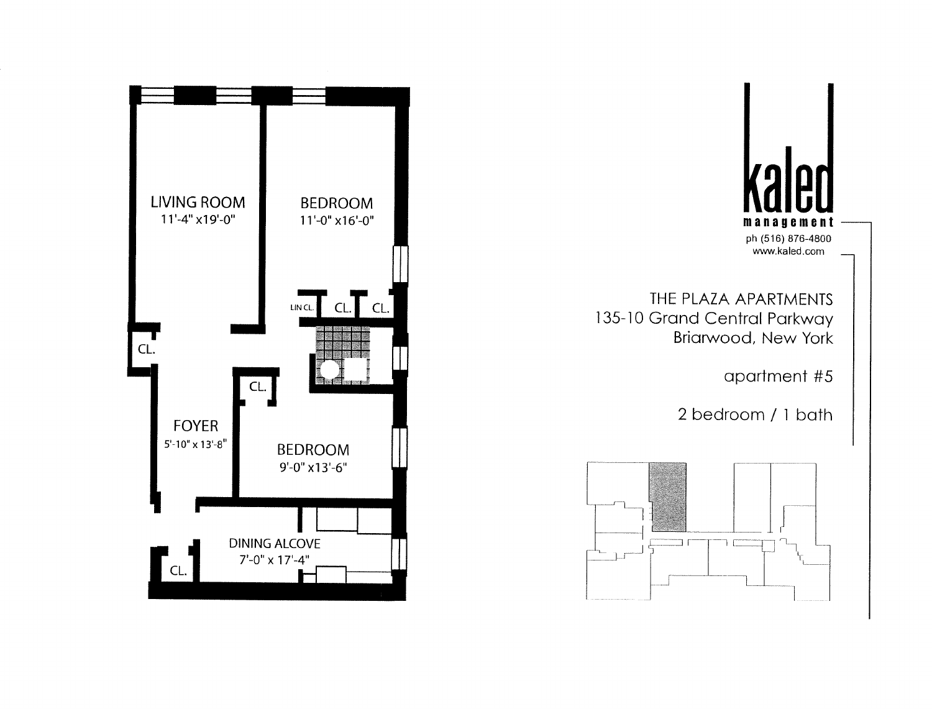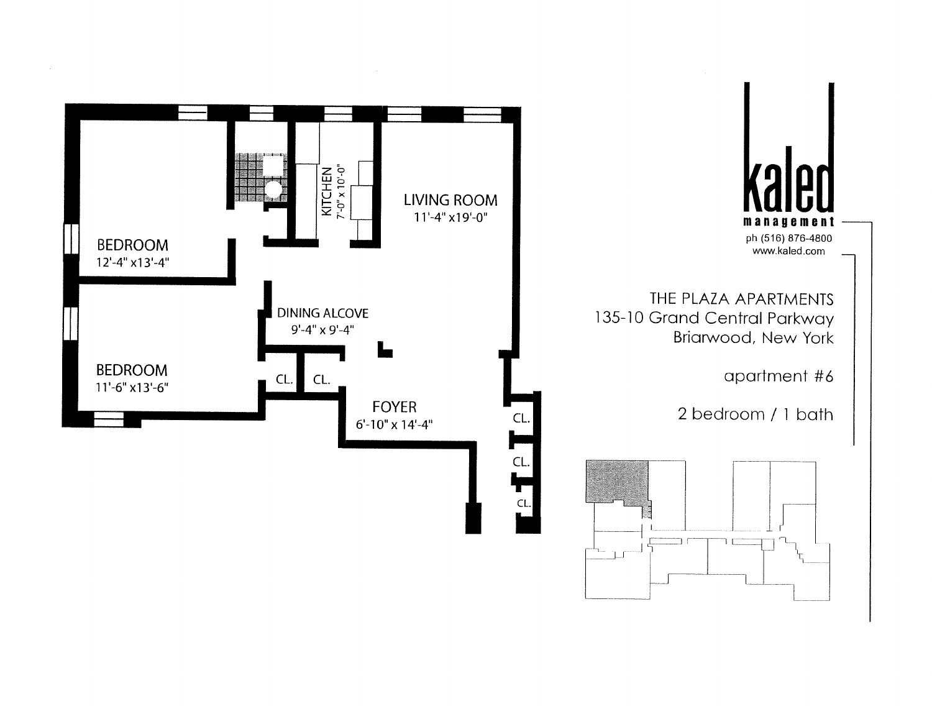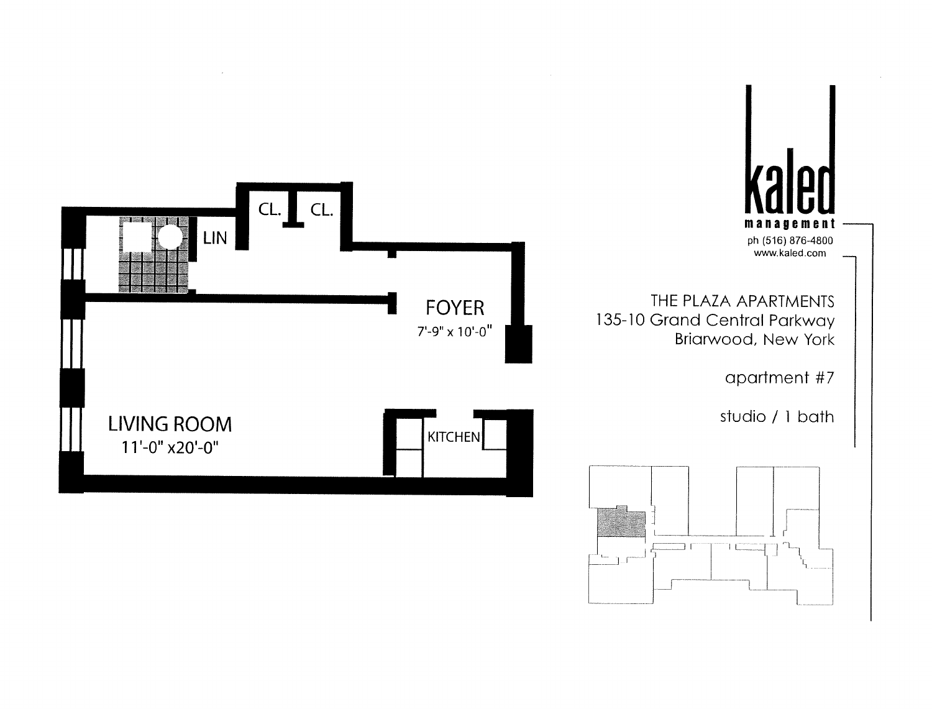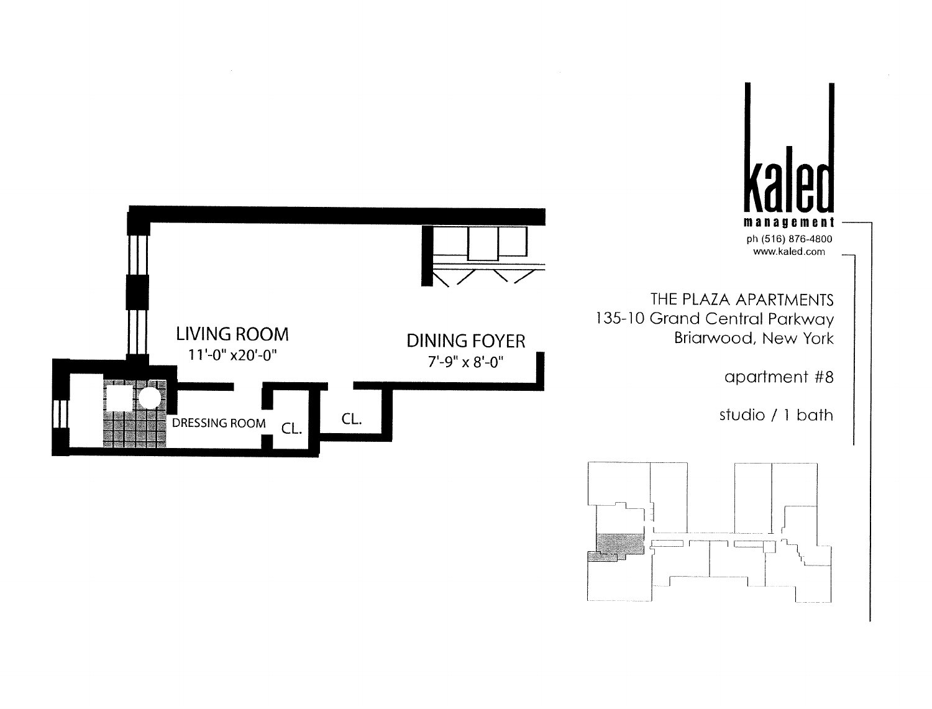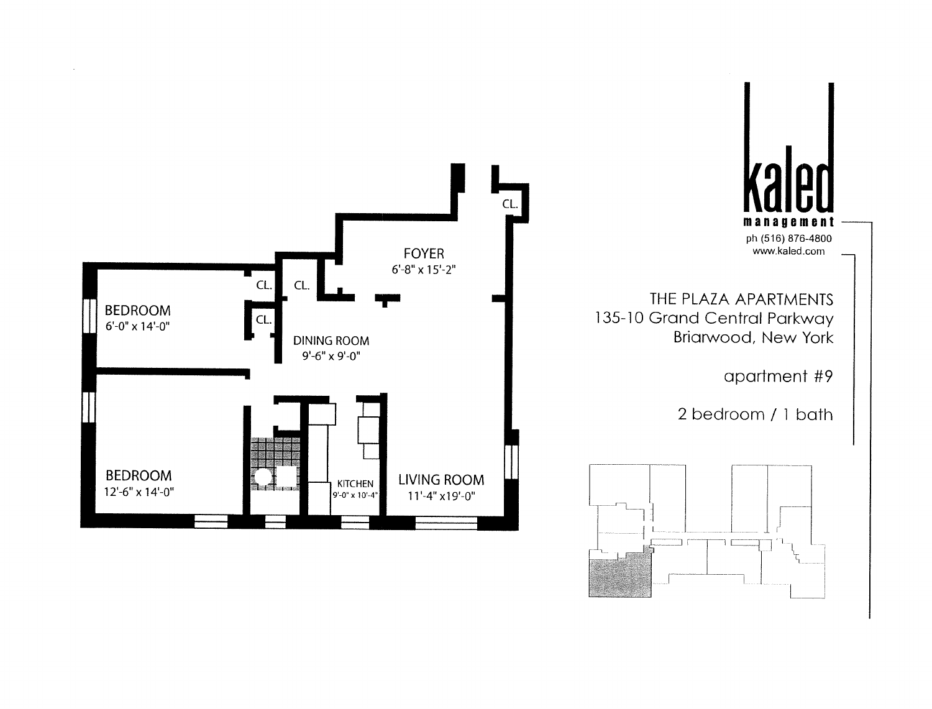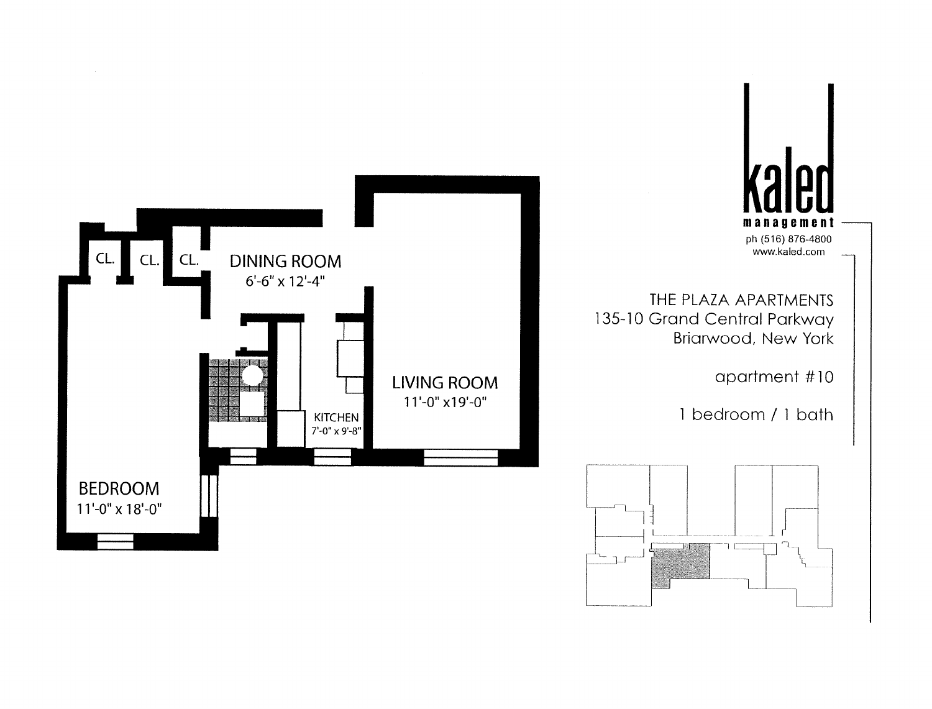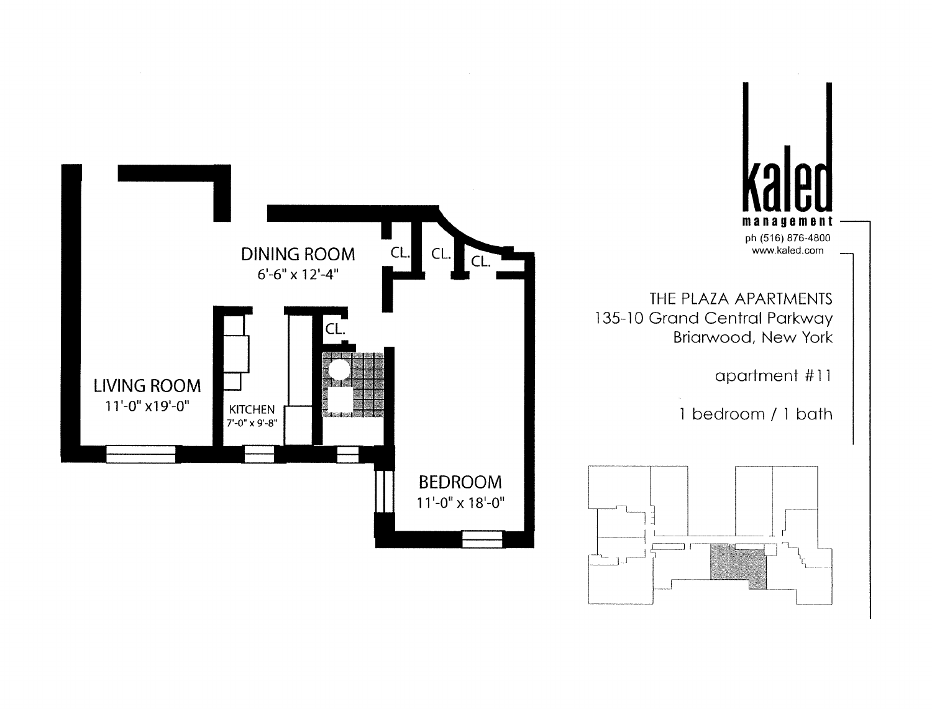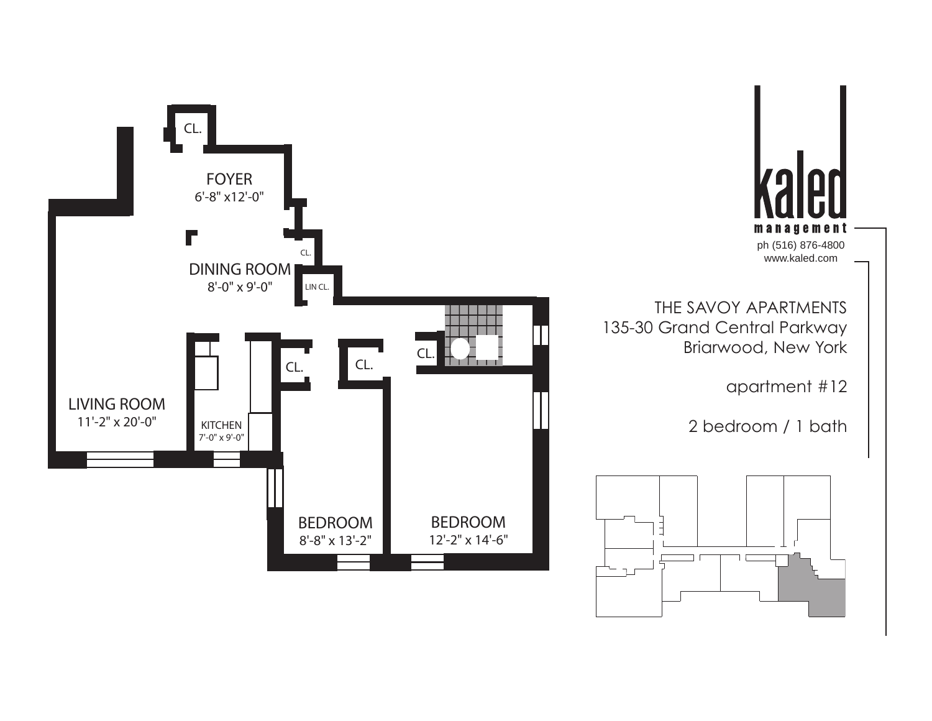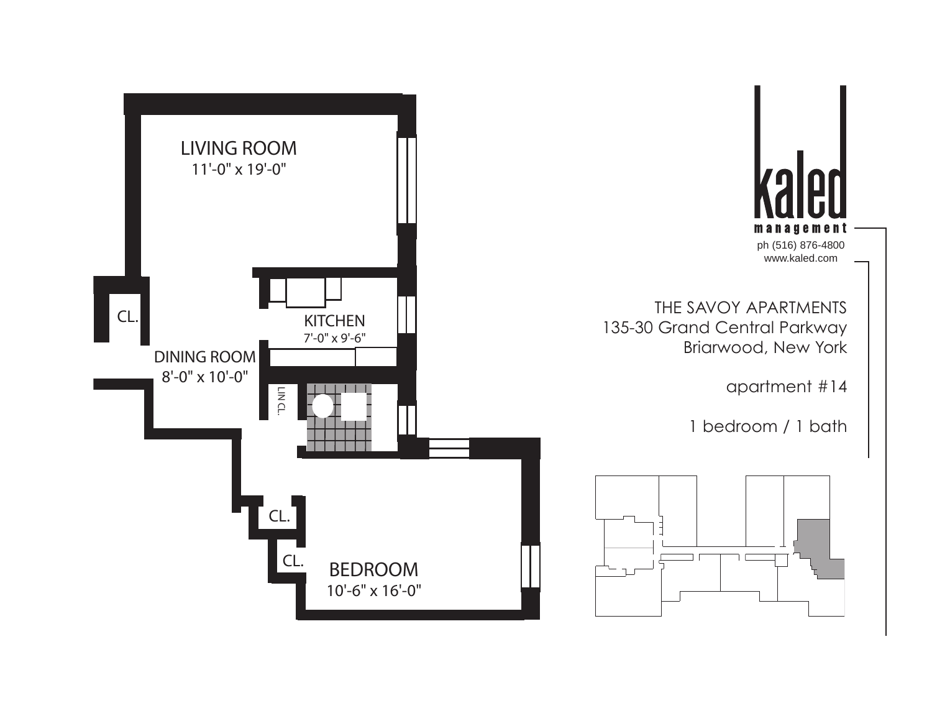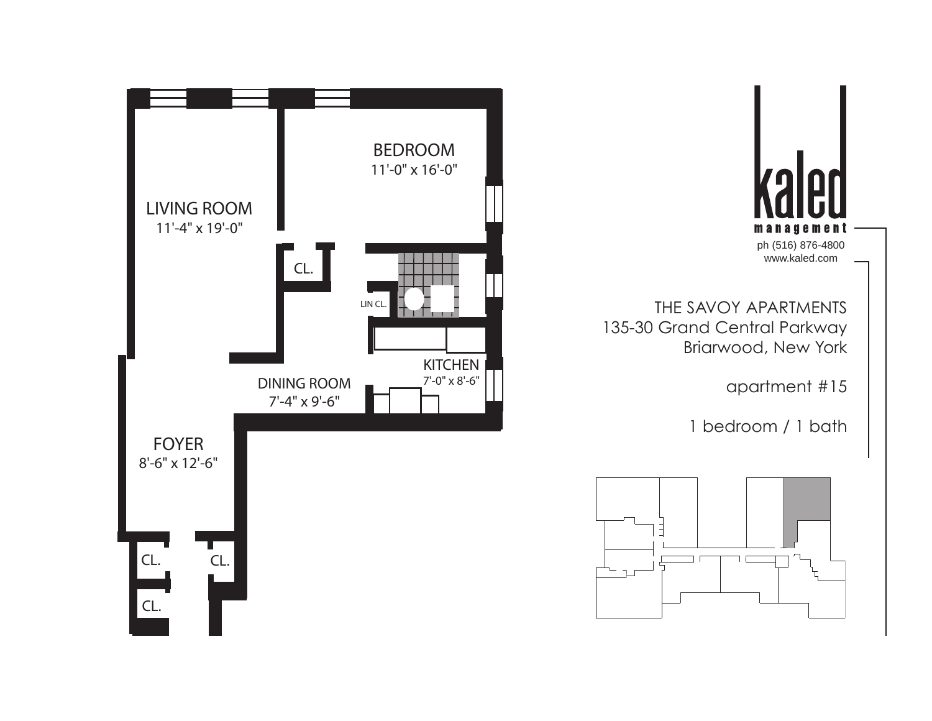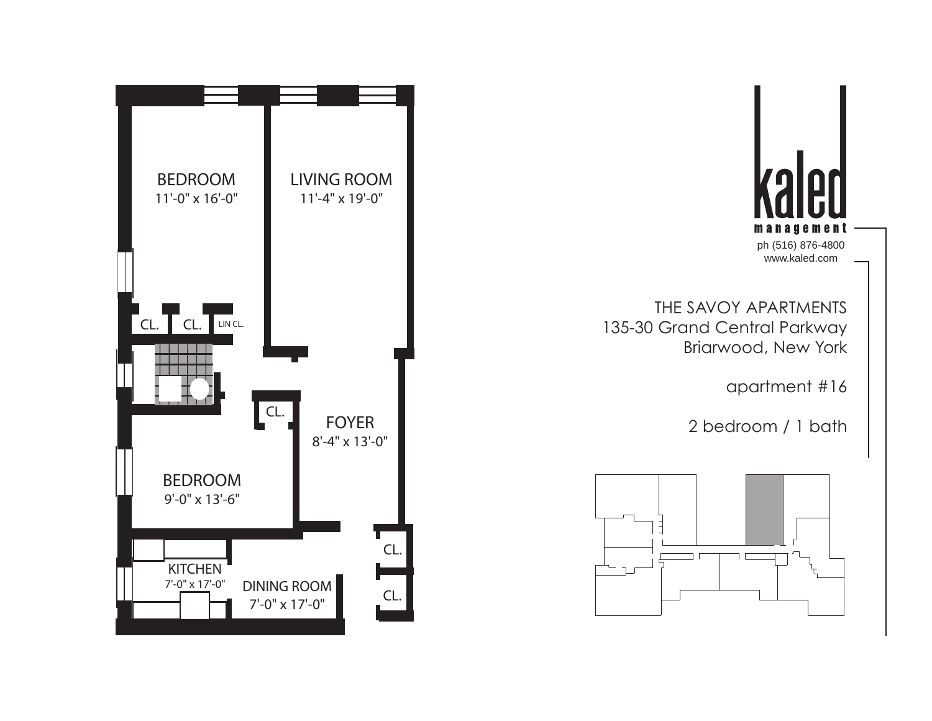

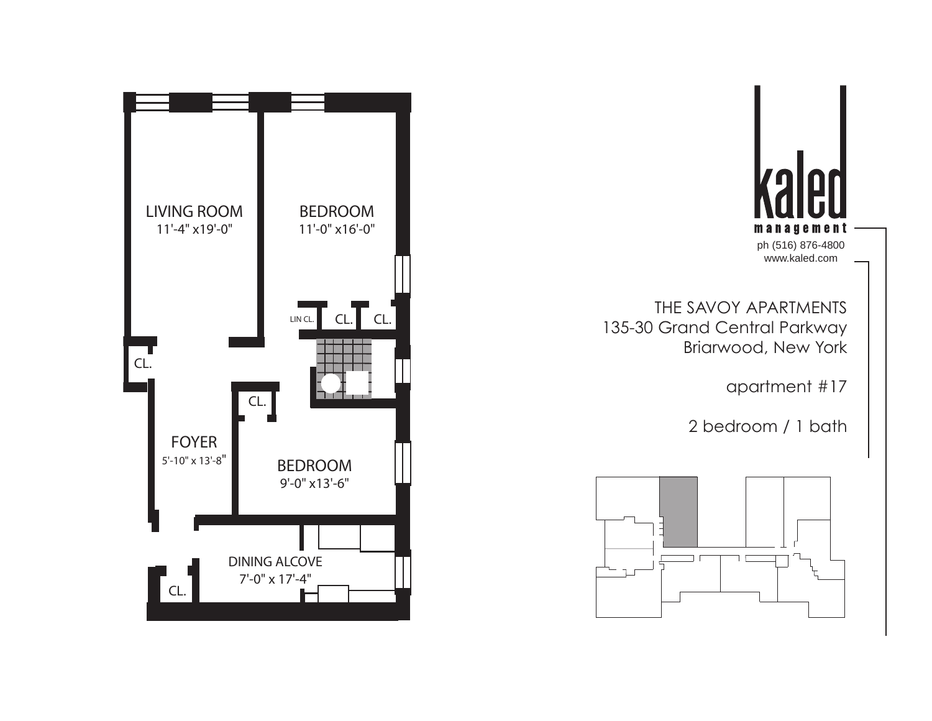

THE SAVOY APARTMENTS 135-30 Grand Central Parkway Briarwood, New York

apartment #17

2 bedroom / 1 bath



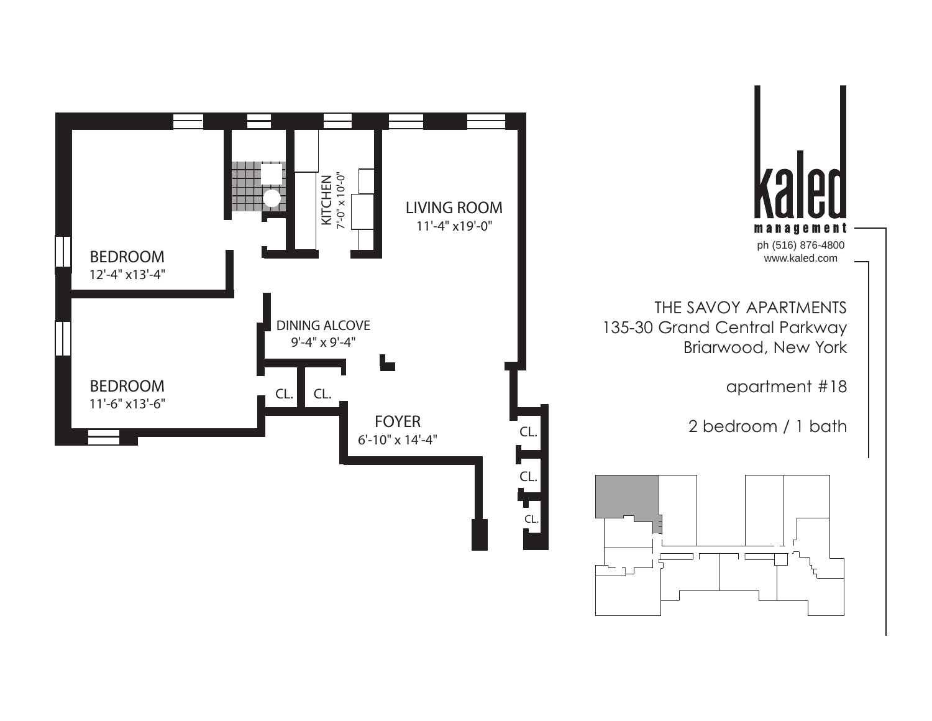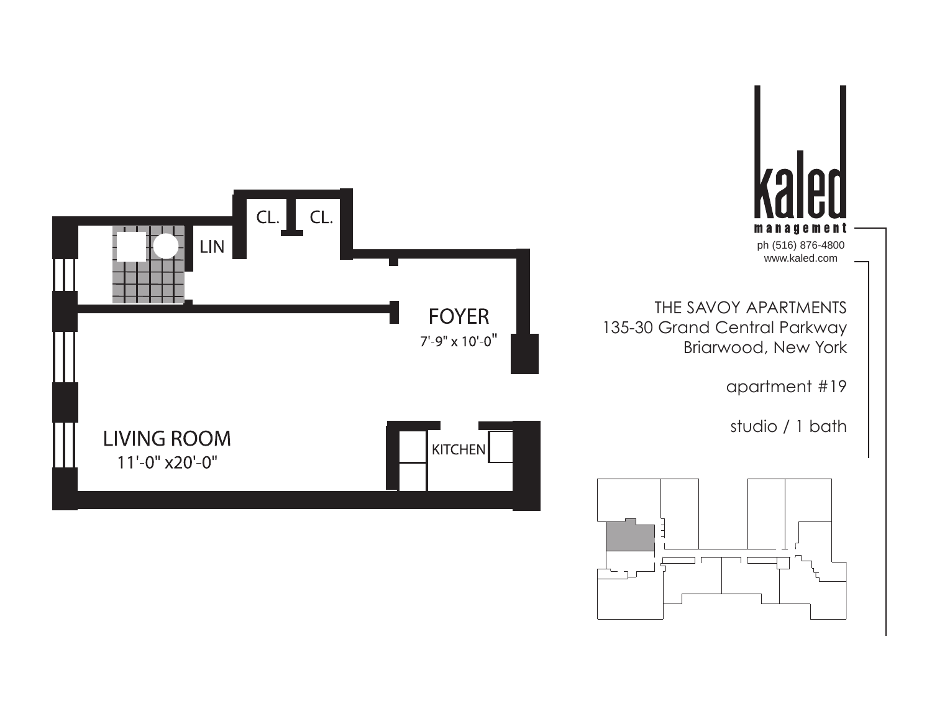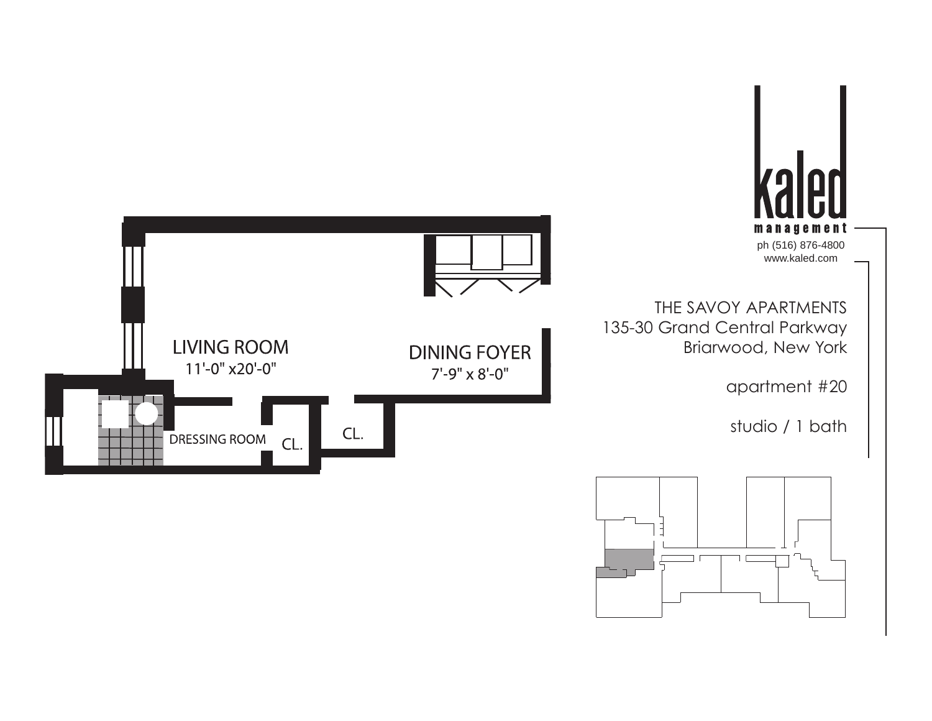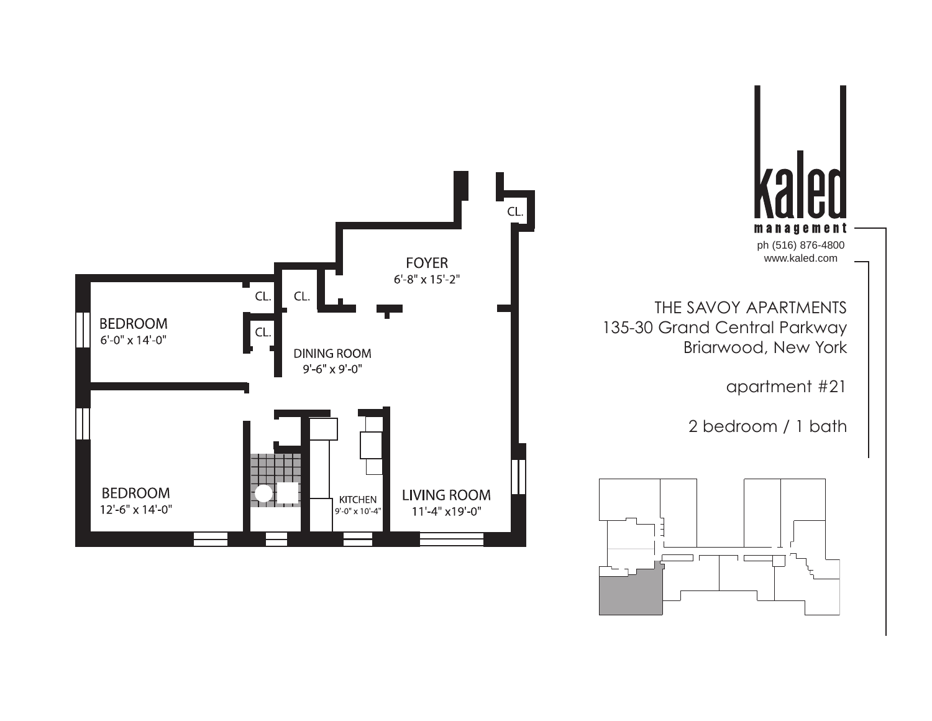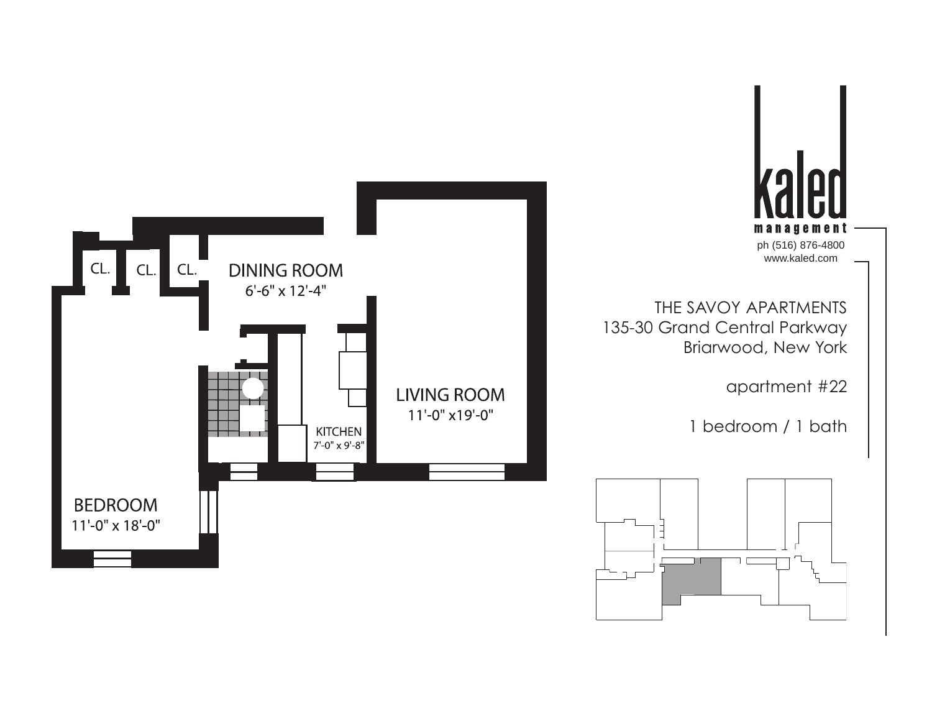



THE SAVOY APARTMENTS 135-30 Grand Central Parkway Briarwood, New York

apartment #22

1 bedroom / 1 bath